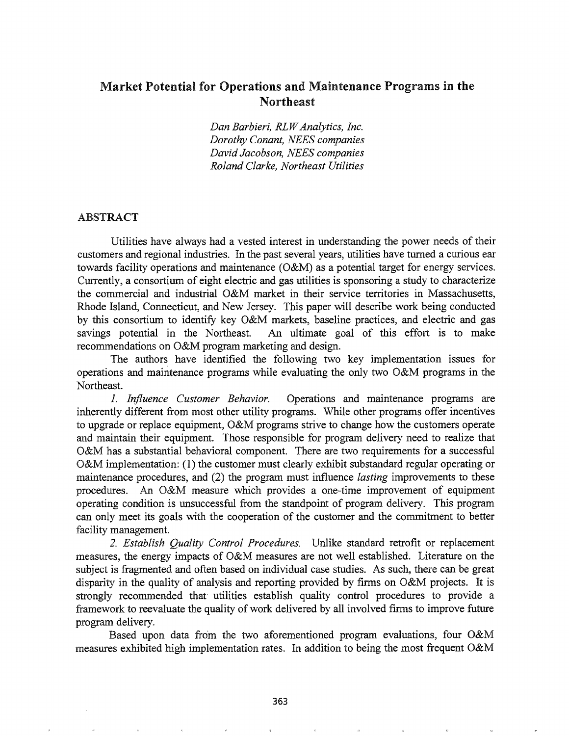# Market Potential for Operations and Maintenance Programs in the Northeast

*Dan Barbieri, RLWAnalytics, Inc. Dorothy Conant, NEES companies David Jacobson, NEES companies Roland Clarke, Northeast Utilities*

#### ABSTRACT

Utilities have always had a vested interest in understanding the power needs of their customers and regional industries. In the past several years, utilities have turned a curious ear towards facility operations and maintenance (O&M) as a potential target for energy services. Currently, a consortium of eight electric and gas utilities is sponsoring a study to characterize the commercial and industrial O&M market in their service territories in Massachusetts, Rhode Island, Connecticut, and New Jersey. This paper will describe work being conducted by this consortium to identify key O&M markets, baseline practices, and electric and gas savings potential in the Northeast. An ultimate goal of this effort is to make recommendations on O&M program marketing and design.

The authors have identified the following two key implementation issues for operations and maintenance programs while evaluating the only two O&M programs in the Northeast.

1. *Influence Customer Behavior.* Operations and maintenance programs are inherently different from most other utility programs. While other programs offer incentives to upgrade or replace equipment, O&M programs strive to change how the customers operate and maintain their equipment. Those responsible for program delivery need to realize that O&M has a substantial behavioral component. There are two requirements for a successful O&M implementation: (1) the customer must clearly exhibit substandard regular operating or maintenance procedures, and (2) the program must influence *lasting* improvements to these procedures. An O&M measure which provides a one-time improvement of equipment operating condition is unsuccessful from the standpoint of program delivery. This program can only meet its goals with the cooperation of the customer and the commitment to better facility management.

*2. Establish Quality Control Procedures.* Unlike standard retrofit or replacement measures, the energy impacts of O&M measures are not well established. Literature on the subject is fragmented and often based on individual case studies. As such, there can be great disparity in the quality of analysis and reporting provided by firms on O&M projects. It is strongly recommended that utilities establish quality control procedures to provide a framework to reevaluate the quality of work delivered by all involved firms to improve future program delivery.

Based upon data from the two aforementioned program evaluations, four O&M measures exhibited high implementation rates. In addition to being the most frequent O&M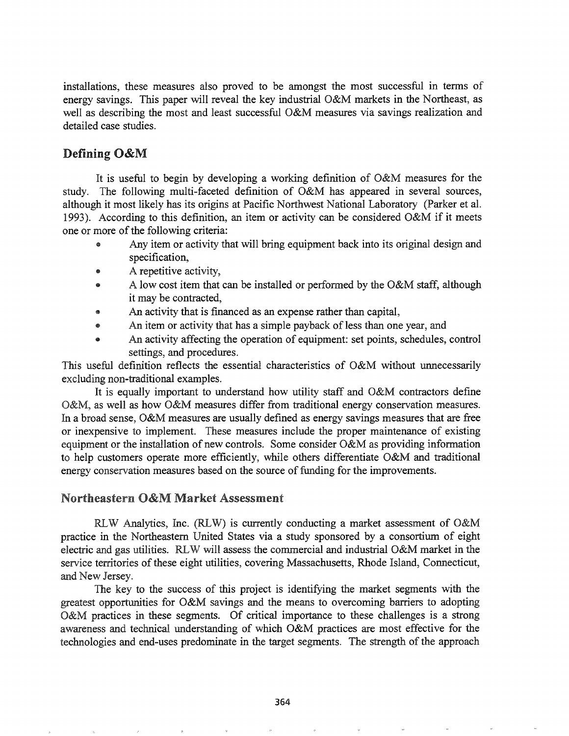installations, these measures also proved to be amongst the most successful in terms of energy savings. This paper will reveal the key industrial O&M markets in the Northeast, as well as describing the most and least successful O&M measures via savings realization and detailed case studies.

# Defining O&M

It is useful to begin by developing a working definition of O&M measures for the study. The following multi-faceted definition of O&M has appeared in several sources, although it most likely has its origins at Pacific Northwest National Laboratory (Parker et al. 1993). According to this definition, an item or activity can be considered O&M if it meets one or more of the following criteria:

- Any item or activity that will bring equipment back into its original design and specification,
- A repetitive activity,
- A low cost item that can be installed or performed by the O&M staff, although it may be contracted,
- An activity that is financed as an expense rather than capital,
- An item or activity that has a simple payback of less than one year, and
- An activity affecting the operation of equipment: set points, schedules, control settings, and procedures.

This useful definition reflects the essential characteristics of O&M without unnecessarily excluding non-traditional examples.

It is equally important to understand how utility staff and O&M contractors define O&M, as well as how O&M measures differ from traditional energy conservation measures. In a broad sense, O&M measures are usually defined as energy savings measures that are free or inexpensive to implement. These measures include the proper maintenance of existing equipment or the installation of new controls. Some consider O&M as providing information to help customers operate more efficiently, while others differentiate O&M and traditional energy conservation measures based on the source of funding for the improvements.

## Northeastern O&M Market Assessment

RLW Analytics, Inc. (RLW) is currently conducting a market assessment of O&M practice in the Northeastern United States via a study sponsored by a consortium of eight electric and gas utilities. RLW will assess the commercial and industrial O&M market in the service territories of these eight utilities, covering Massachusetts, Rhode Island, Connecticut, and New Jersey.

The key to the success of this project is identifying the market segments with the greatest opportunities for O&M savings and the means to overcoming barriers to adopting O&M practices in these segments. Of critical importance to these challenges is a strong awareness and technical understanding of which O&M practices are most effective for the technologies and end-uses predominate in the target segments. The strength of the approach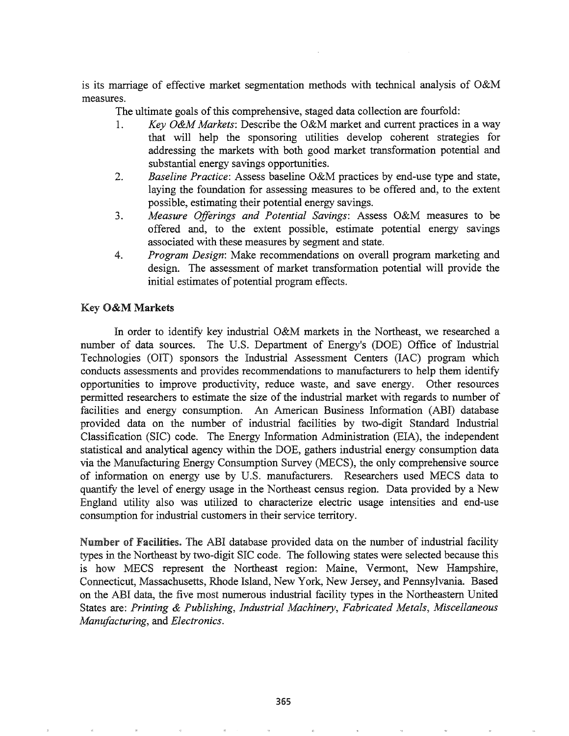is its marriage of effective market segmentation methods with technical analysis of O&M measures.

The ultimate goals of this comprehensive, staged data collection are fourfold:

- *1. Key O&M Markets:* Describe the O&M market and current practices in a way that will help the sponsoring utilities develop coherent strategies for addressing the markets with both good market transformation potential and substantial energy savings opportunities.
- *2. Baseline Practice:* Assess baseline O&M practices by end-use type and state, laying the foundation for assessing measures to be offered and, to the extent possible, estimating their potential energy savings.
- *3. Measure Offerings and Potential Savings:* Assess O&M measures to be offered and, to the extent possible, estimate potential energy savings associated with these measures by segment and state.
- *4. Program Design:* Make recommendations on overall program marketing and design. The assessment of market transformation potential will provide the initial estimates of potential program effects.

### Key O&M Markets

In order to identify key industrial O&M markets in the Northeast, we researched a number of data sources. The U.S. Department of Energy's (DOE) Office of Industrial Technologies (OIT) sponsors the Industrial Assessment Centers (lAC) program which conducts assessments and provides recommendations to manufacturers to help them identify opportunities to improve productivity, reduce waste, and save energy. Other resources permitted researchers to estimate the size of the industrial market with regards to number of facilities and energy consumption. An American Business Information (ABI) database provided data on the number of industrial facilities by two-digit Standard Industrial Classification (SIC) code. The Energy Information Administration (EIA), the independent statistical and analytical agency within the DOE, gathers industrial energy consumption data via the Manufacturing Energy Consumption Survey (MECS), the only comprehensive source of information on energy use by U.S. manufacturers. Researchers used MECS data to quantify the level of energy usage in the Northeast census region. Data provided by a New England utility also was utilized to characterize electric usage intensities and end-use consumption for industrial customers in their service territory.

Number of Facilities. The ABI database provided data on the number of industrial facility types in the Northeast by two-digit SIC code. The following states were selected because this is how MECS represent the Northeast region: Maine, Vermont, New Hampshire, Connecticut, Massachusetts, Rhode Island, New York, New Jersey, and Pennsylvania. Based on the ABI data, the five most numerous industrial facility types in the Northeastern United States are: *Printing* & *Publishing, Industrial Machinery, Fabricated Metals, Miscellaneous Manufacturing,* and *Electronics.*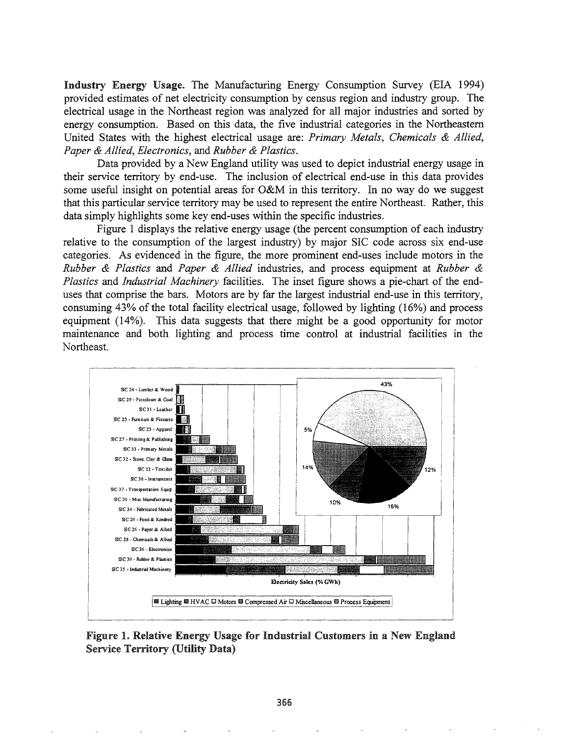Industry Energy Usage. The Manufacturing Energy Consumption Survey (EIA 1994) provided estimates of net electricity consumption by census region and industry group. The electrical usage in the Northeast region was analyzed for all major industries and sorted by energy consumption. Based on this data, the five industrial categories in the Northeastern United States with the highest electrical usage are: *Primary Metals, Chemicals* & *Allied, Paper* & *Allied, Electronics,* and *Rubber* & *Plastics.*

Data provided by a New England utility was used to depict industrial energy usage in their service territory by end-use. The inclusion of electrical end-use in this data provides some useful insight on potential areas for O&M in this territory. In no way do we suggest that this particular service territory may be used to represent the entire Northeast. Rather, this data simply highlights some key end-uses within the specific industries.

Figure 1 displays the relative energy usage (the percent consumption of each industry relative to the consumption of the largest industry) by major SIC code across six end-use categories. As evidenced in the figure, the more prominent end-uses include motors in the *Rubber* & *Plastics* and *Paper* & *Allied* industries, and process equipment at *Rubber* & *Plastics* and *Industrial Machinery* facilities. The inset figure shows a pie-chart of the enduses that comprise the bars. Motors are by far the largest industrial end-use in this territory, consuming  $43\%$  of the total facility electrical usage, followed by lighting (16%) and process equipment (14%). This data suggests that there might be a good opportunity for motor maintenance and both lighting and process time control at industrial facilities in the Northeast.



Figure 1. Relative Energy Usage for Industrial Customers in a New England Service Territory (Utility Data)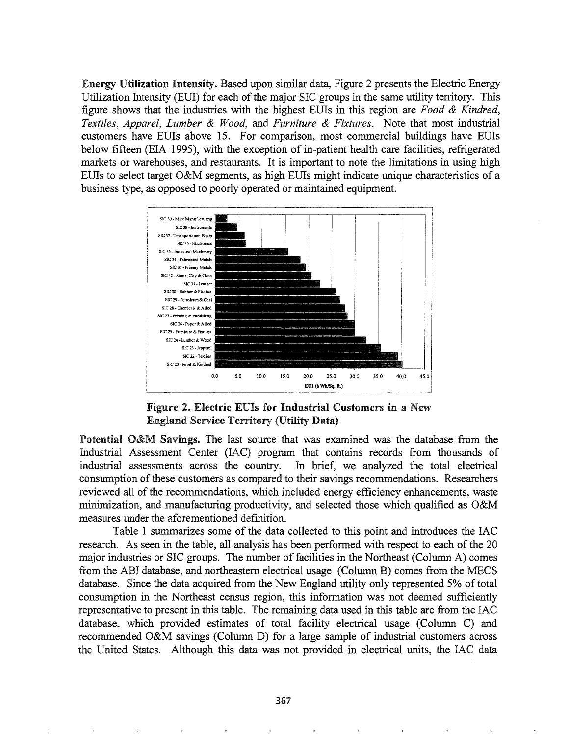Energy Utilization Intensity. Based upon similar data, Figure 2 presents the Electric Energy Utilization Intensity (EUI) for each of the major SIC groups in the same utility territory. This figure shows that the industries with the highest EUls in this region are *Food* & *Kindred, Textiles, Apparel, Lumber* & *Wood,* and *Furniture* & *Fixtures.* Note that most industrial customers have EUIs above 15. For comparison, most commercial buildings have EUIs below fifteen (EIA 1995), with the exception of in-patient health care facilities, refrigerated markets or warehouses, and restaurants. It is important to note the limitations in using high EUIs to select target O&M segments, as high EUls might indicate unique characteristics of a business type, as opposed to poorly operated or maintained equipment.



Figure 2. Electric EUIs for Industrial Customers in a New England Service Territory (Utility Data)

Potential O&M Savings. The last source that was examined was the database from the Industrial Assessment Center (IAC) program that contains records from thousands of industrial assessments across the country. In brief, we analyzed the total electrical consumption ofthese customers as compared to their savings recommendations. Researchers reviewed all of the recommendations, which included energy efficiency enhancements, waste minimization, and manufacturing productivity, and selected those which qualified as O&M measures under the aforementioned definition..

Table 1 summarizes some of the data collected to this point and introduces the lAC research. As seen in the table, all analysis has been performed with respect to each of the  $20$ major industries or SIC groups. The number of facilities in the Northeast (Column A) comes from the ABI database, and northeastern electrical usage (Column B) comes from the MECS database. Since the data acquired from the New England utility only represented 5% of total consumption in the Northeast census region, this information was not deemed sufficiently representative to present in this table. The remaining data used in this table are from the lAC database, which provided estimates of total facility electrical usage (Column C) and recommended O&M savings (Column D) for a large sample of industrial customers across the United States. Although this data was not provided in electrical units, the IAC data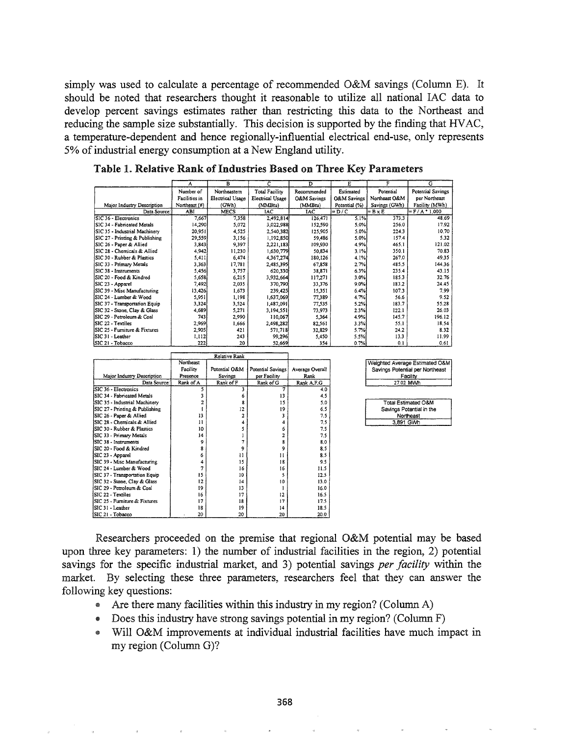simply was used to calculate a percentage of recommended O&M savings (Column E). It should be noted that researchers thought it reasonable to utilize all national lAC data to develop percent savings estimates rather than restricting this data to the Northeast and reducing the sample size substantially. This decision is supported by the finding that HVAC, a temperature-dependent and hence regionally-influential electrical end-use, only represents 5% of industrial energy consumption at a New England utility.

|                                | A             | в                       | c                | D           | Ε             | F              | G                 |
|--------------------------------|---------------|-------------------------|------------------|-------------|---------------|----------------|-------------------|
|                                | Number of     | Northeastern            | Total Facility   | Recommended | Estimated     | Potential      | Potential Savings |
|                                | Facilities in | <b>Electrical Usage</b> | Electrical Usage | O&M Savings | O&M Savings   | Northeast O&M  | per Northeast     |
| Major Industry Description     | Northeast (#) | (GWh)                   | (MMBtu)          | (MMBtu)     | Potential (%) | Savings (GWh)  | Facility (MWh)    |
| Data Source:                   | ABI           | <b>MECS</b>             | IAC              | IAC         | $= D/C$       | $= B \times E$ | $= F/A * 1,000$   |
| SIC 36 - Electronics           | 7,667         | 7,358                   | 2.492.814        | 126.471     | 5.1%          | 373.3          | 48.69             |
| SIC 34 - Fabricated Metals     | 14,290        | 5,072                   | 3.022.988        | 152,590     | 5.0%          | 256.0          | 17.92             |
| SIC 35 - Industrial Machinery  | 20,951        | 4,525                   | 2,540,382        | 125,905     | 5.0%          | 224.3          | 10.70             |
| SIC 27 - Printing & Publishing | 29,559,       | 3,156                   | 1.192.850        | 59.486      | 5.0%          | 157.4          | 5.32              |
| SIC 26 - Paper & Allied        | 3,843         | 9,397                   | 2,221,183        | 109,930     | 4.9%          | 465.1          | 121.02            |
| ISIC 28 - Chemicals & Allied   | 4,942         | 11,230                  | 1,630,779        | 50,834      | 3.1%          | 350.1          | 70.83             |
| ISIC 30 - Rubber & Plastics    | 5.411         | 6,474                   | 4,367,274        | 180,126     | 4.1%          | 267.0          | 49.35             |
| SIC 33 - Primary Metals        | 3,363         | 17,781                  | 2,485,395        | 67,858      | 2.7%          | 485.5          | 144.36            |
| SIC 38 - Instruments           | 5,456         | 3,757                   | 620,330          | 38,871      | 6.3%          | 235.4          | 43.15             |
| SIC 20 - Food & Kindred        | 5,658         | 6,215                   | 3,932,664        | 117,271     | 3.0%          | 185.3          | 32.76             |
| SIC 23 - Apparel               | 7,492         | 2,035                   | 370,790          | 33,376      | 9.0%          | 183.2          | 24.45             |
| SIC 39 - Misc Manufacturing    | 13,426        | 1,673                   | 239,425          | 15,351      | 6.4%          | 107.3          | 7.99              |
| ISIC 24 - Lumber & Wood        | 5,951         | 1,198                   | 1,637,069        | 77,389      | 4.7%          | 56.6           | 9.52              |
| SIC 37 - Transportation Equip  | 3,324         | 3,524                   | 1,487,091        | 77,535      | 5.2%          | 183.7          | 55.28             |
| SIC 32 - Stone, Clay & Glass   | 4,689         | 5,271                   | 3,194,551        | 73,973      | 2.3%          | 122.1          | 26.03             |
| ISIC 29 - Petroleum & Coal     | 743           | 2,990                   | 110,067          | 5,364       | 4.9%          | 145.7          | 196.12            |
| SIC 22 - Textiles              | 2.969         | 1,666                   | 2,498,282        | 82,561      | 3.3%          | 55.1           | 18.54             |
| ISIC 25 - Furniture & Fixtures | 2,905         | 421                     | 571,718          | 32,829      | 5.7%          | 24.2           | 8.32              |
| SIC 31 - Leather               | 1,112         | 243                     | 99,296           | 5,450       | 5.5%          | 13.3           | 11.99             |
| ISIC 21 - Tobacco              | 222           | 20                      | 52,669           | 354         | 0.7%          | 0.1            | 0.61              |

Table 1. Relative Rank of Industries Based on Three Key Parameters

|                                | Northeast |               |                   |                 |
|--------------------------------|-----------|---------------|-------------------|-----------------|
|                                | Facility  | Potential O&M | Potential Savings | Average Overall |
| Major Industry Description     | Presence  | Savings       | per Facility      | Rank            |
| Data Source:                   | Rank of A | Rank of F     | Rank of G         | Rank A.F.G      |
| SIC 36 - Electronics           |           | 3             | 7                 | 4.0             |
| SIC 34 - Fabricated Metals     | 3         | 6             | 13                | 4.5             |
| SIC 35 - Industrial Machinery  |           | ጸ             | 15                | 5.0             |
| SIC 27 - Printing & Publishing |           | 12            | 19                | 6.5             |
| SIC 26 - Paper & Allied        | 13        |               | 3                 | 7.5             |
| SIC 28 - Chemicals & Allied    | 11        |               | 4                 | 7.5             |
| SIC 30 - Rubber & Plastics     | 10        |               | 6                 | 7.5             |
| SIC 33 - Primary Metals        | 14        |               | 2                 | 7.5             |
| SIC 38 - Instruments           | 9         |               | 8                 | 8.0             |
| SIC 20 - Food & Kindred        | ጸ         | ٥             | 9                 | 8.5             |
| SIC 23 - Apparel               | 6         | п             | н                 | 8.5             |
| SIC 39 - Misc Manufacturing    |           | 15            | 18                | 9.5             |
| SIC 24 - Lumber & Wood         |           | 16            | 16                | 11.5            |
| SIC 37 - Transportation Equip  | 15        | 10            | 5                 | 12.5            |
| SIC 32 - Stone, Clay & Glass   | 12        | 14            | 10                | 13.0            |
| SIC 29 - Petroleum & Coal      | 19        | 13            |                   | 16.0            |
| SIC 22 - Textiles              | 16        | 17            | 12                | 16.5            |
| SIC 25 - Furniture & Fixtures  | 17        | 18            | 17                | 17.5            |
| SIC 31 - Leather               | 18        | 19            | 14                | 18.5            |
| SIC 21 - Tobacco               | 20        | 20            | 20                | 20.0            |

| Weighted Average Estimated O&M  |  |  |  |  |  |
|---------------------------------|--|--|--|--|--|
| Savings Potential per Northeast |  |  |  |  |  |
| Facility                        |  |  |  |  |  |
| 27.02 MWh                       |  |  |  |  |  |

| <b>Total Estimated O&amp;M</b> |  |  |  |
|--------------------------------|--|--|--|
| Savings Potential in the       |  |  |  |
| Northeast                      |  |  |  |
| 3,891 GWh                      |  |  |  |

Researchers proceeded on the premise that regional O&M potential may be based upon three key parameters: 1) the number of industrial facilities in the region, 2) potential savings for the specific industrial market, and 3) potential savings *per facility* within the market. By selecting these three parameters, researchers feel that they can answer the following key questions:

- Are there many facilities within this industry in my region? (Column A)
- e Does this industry have strong savings potential in my region? (Column F)
- @ Will O&M improvements at individual industrial facilities have much impact in my region (Column G)?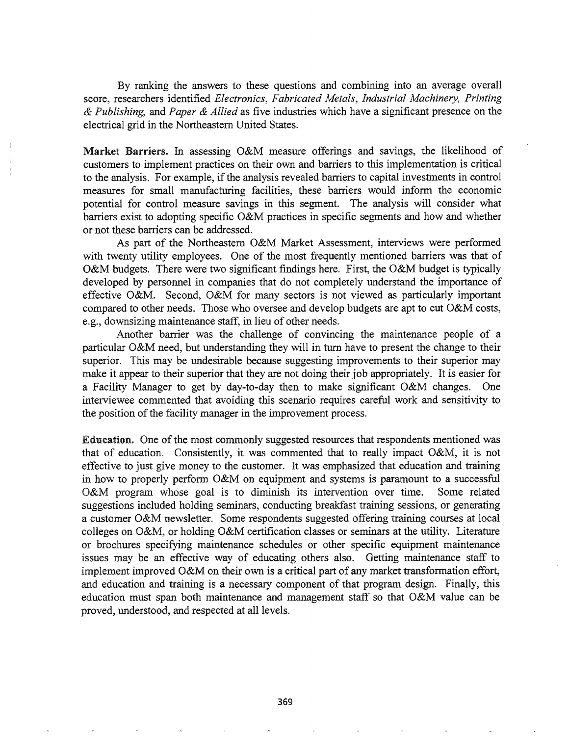By ranking the answers to these questions and combining into an average overall score, researchers identified *Electronics, Fabricated Metals, Industrial Machinery, Printing* & *Publishing,* and *Paper* & *Allied* as five industries which have a significant presence on the electrical grid in the Northeastern United States.

Market Barriers. In assessing O&M measure offerings and savings, the likelihood of customers to implement practices on their own and barriers to this implementation is critical to the analysis. For example, if the analysis revealed barriers to capital investments in control measures for small manufacturing facilities, these barriers would inform the economic potential for control measure savings in this segment. The analysis will consider what barriers exist to adopting specific O&M practices in specific segments and how and whether or not these barriers can be addressed.

As part of the Northeastern O&M Market Assessment, interviews were performed with twenty utility employees. One of the most frequently mentioned barriers was that of O&M budgets. There were two significant findings here. First, the O&M budget is typically developed by personnel in companies that do not completely understand the importance of effective O&M. Second, O&M for many sectors is not viewed as particularly important compared to other needs. Those who oversee and develop budgets are apt to cut O&M costs, e.g., downsizing maintenance staff, in lieu of other needs.

Another barrier was the challenge of convincing the maintenance people of a particular O&M need, but understanding they will in tum have to present the change to their superior. This may be undesirable because suggesting improvements to their superior may make it appear to their superior that they are not doing their job appropriately. It is easier for a Facility Manager to get by day-to-day then to make significant O&M changes. One interviewee commented that avoiding this scenario requires careful work and sensitivity to the position of the facility manager in the improvement process.

Education. One of the most commonly suggested resources that respondents mentioned was that of education. Consistently, it was commented that to really impact O&M, it is not effective to just give money to the customer. It was emphasized that education and training in how to properly perform O&M on equipment and systems is paramount to a successful O&M program whose goal is to diminish its intervention over time. Some related suggestions included holding seminars, conducting breakfast training sessions, or generating a customer O&M newsletter. Some respondents suggested offering training courses at local colleges on O&M, or holding O&M certification classes or seminars at the utility. Literature or brochures specifying maintenance schedules or other specific equipment maintenance issues may be an effective way of educating others also. Getting maintenance staff to implement improved O&M on their own is a critical part of any market transformation effort, and education and training is a necessary component of that program design. Finally, this education must span both maintenance and management staff so that O&M value can be proved, understood, and respected at all levels.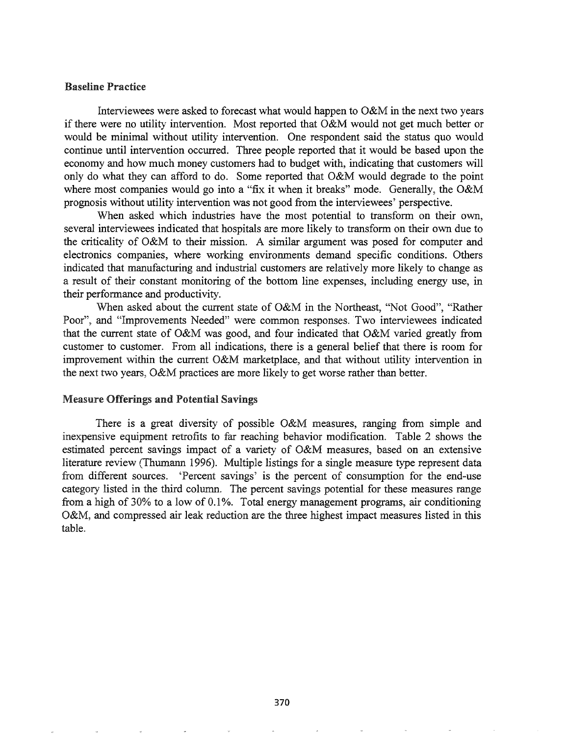#### Baseline Practice

Interviewees were asked to forecast what would happen to O&M in the next two years if there were no utility intervention. Most reported that  $O&M$  would not get much better or would be minimal without utility intervention. One respondent said the status quo would continue until intervention occurred. Three people reported that it would be based upon the economy and how much money customers had to budget with, indicating that customers will only do what they can afford to do. Some reported that O&M would degrade to the point where most companies would go into a "fix it when it breaks" mode. Generally, the O&M prognosis without utility intervention was not good from the interviewees' perspective.

When asked which industries have the most potential to transform on their own, several interviewees indicated that hospitals are more likely to transform on their own due to the criticality of O&M to their mission. A similar argument was posed for computer and electronics companies, where working environments demand specific conditions. Others indicated that manufacturing and industrial customers are relatively more likely to change as a result of their constant monitoring of the bottom line expenses, including energy use, in their performance and productivity.

When asked about the current state of O&M in the Northeast, "Not Good", "Rather Poor", and "Improvements Needed" were common responses. 'Two interviewees indicated that the current state of O&M was good, and four indicated that O&M varied greatly from customer to customer. From all indications, there is a general belief that there is room for improvement within the current O&M marketplace, and that without utility intervention in the next two years, O&M practices are more likely to get worse rather than better.

#### Measure Offerings and Potential Savings

There is a great diversity of possible O&M measures, ranging from simple and inexpensive equipment retrofits to far reaching behavior modification. Table 2 shows the estimated percent savings impact of a variety of O&M measures, based on an extensive literature review (Thumann 1996). Multiple listings for a single measure type represent data from different sources. 'Percent savings' is the percent of consumption for the end-use category listed in the third column. The percent savings potential for these measures range from a high of 30% to a low of 0.1%. Total energy management programs, air conditioning O&M, and compressed air leak reduction are the three highest impact measures listed in this table.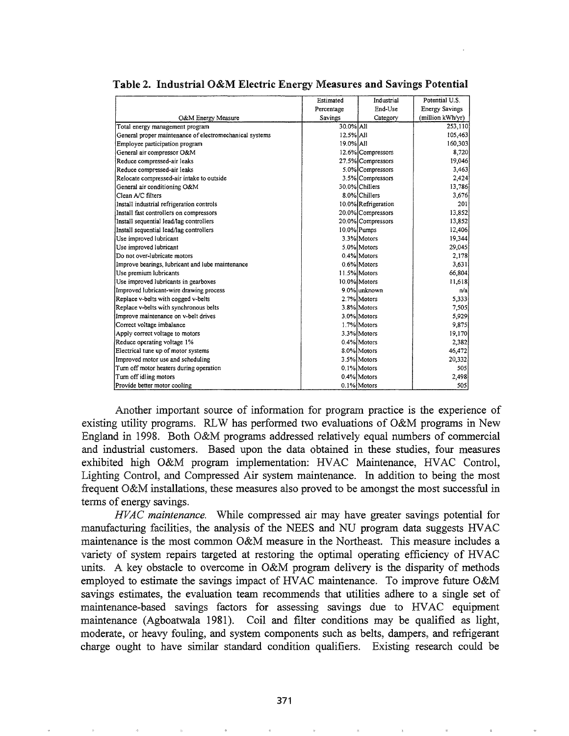|                                                         | Estimated    | Industrial          | Potential U.S.        |
|---------------------------------------------------------|--------------|---------------------|-----------------------|
|                                                         | Percentage   | End-Use             | <b>Energy Savings</b> |
| O&M Energy Measure                                      | Savings      | Category            | (million kWh/yr)      |
| Total energy management program                         | 30.0% All    |                     | 253,110               |
| General proper maintenance of electromechanical systems | $12.5\%$ All |                     | 105,463               |
| Employee participation program                          | 19.0% All    |                     | 160,303               |
| General air compressor O&M                              |              | 12.6% Compressors   | 8,720                 |
| Reduce compressed-air leaks                             |              | 27.5% Compressors   | 19,046                |
| Reduce compressed-air leaks                             |              | 5.0% Compressors    | 3,463                 |
| Relocate compressed-air intake to outside               |              | 3.5% Compressors    | 2,424                 |
| General air conditioning O&M                            |              | 30.0% Chillers      | 13,786                |
| Clean A/C filters                                       |              | 8.0% Chillers       | 3,676                 |
| Install industrial refrigeration controls               |              | 10.0% Refrigeration | 201                   |
| Install fast controllers on compressors                 |              | 20.0% Compressors   | 13,852                |
| Install sequential lead/lag controllers                 |              | 20.0% Compressors   | 13,852                |
| Install sequential lead/lag controllers                 |              | 10.0% Pumps         | 12,406                |
| Use improved lubricant                                  |              | 3.3% Motors         | 19,344                |
| Use improved lubricant                                  |              | 5.0% Motors         | 29,045                |
| Do not over-lubricate motors                            |              | 0.4% Motors         | 2,178                 |
| Improve bearings, lubricant and lube maintenance        |              | 0.6% Motors         | 3,631                 |
| Use premium lubricants                                  |              | 11.5% Motors        | 66,804                |
| Use improved lubricants in gearboxes                    |              | 10.0% Motors        | 11,618                |
| Improved lubricant-wire drawing process                 |              | 9.0% unknown        | n/a                   |
| Replace v-belts with cogged v-belts                     |              | 2.7% Motors         | 5,333                 |
| Replace v-belts with synchronous belts                  |              | 3.8% Motors         | 7,505                 |
| Improve maintenance on v-belt drives                    |              | 3.0% Motors         | 5,929                 |
| Correct voltage imbalance                               |              | 1.7% Motors         | 9,875                 |
| Apply correct voltage to motors                         |              | 3.3% Motors         | 19,170                |
| Reduce operating voltage 1%                             |              | 0.4% Motors         | 2,382                 |
| Electrical tune up of motor systems                     |              | 8.0% Motors         | 46,472                |
| Improved motor use and scheduling                       |              | 3.5% Motors         | 20,332                |
| Turn off motor heaters during operation                 |              | 0.1% Motors         | 505                   |
| Turn off idling motors                                  |              | 0.4% Motors         | 2,498                 |
| Provide better motor cooling                            |              | 0.1% Motors         | 505                   |

#### Table 2. Industrial O&M Electric Energy Measures and Savings Potential

Another important source of information for program practice is the experience of existing utility programs. RLW has performed two evaluations of O&M programs in New England in 1998. Both O&M programs addressed relatively equal numbers of commercial and industrial customers. Based upon the data obtained in these studies, four measures exhibited high O&M program implementation: HVAC Maintenance, HVAC Control, Lighting Control, and Compressed Air system maintenance. In addition to being the most frequent O&M installations, these measures also proved to be amongst the most successful in terms of energy savings.

*HVAC maintenance.* While compressed air may have greater savings potential for manufacturing facilities, the analysis of the NEES and NU program data suggests HVAC maintenance is the most common O&M measure in the Northeast. This measure includes a variety of system repairs targeted at restoring the optimal operating efficiency of HVAC units. A key obstacle to overcome in O&M program delivery is the disparity of methods employed to estimate the savings impact of HVAC maintenance. To improve future O&M savings estimates, the evaluation team recommends that utilities adhere to a single set of maintenance-based savings factors for assessing savings due to HVAC equipment maintenance (Agboatwala 1981). Coil and filter conditions may be qualified as light, moderate, or heavy fouling, and system components such as belts, dampers, and refrigerant charge ought to have similar standard condition qualifiers. Existing research could be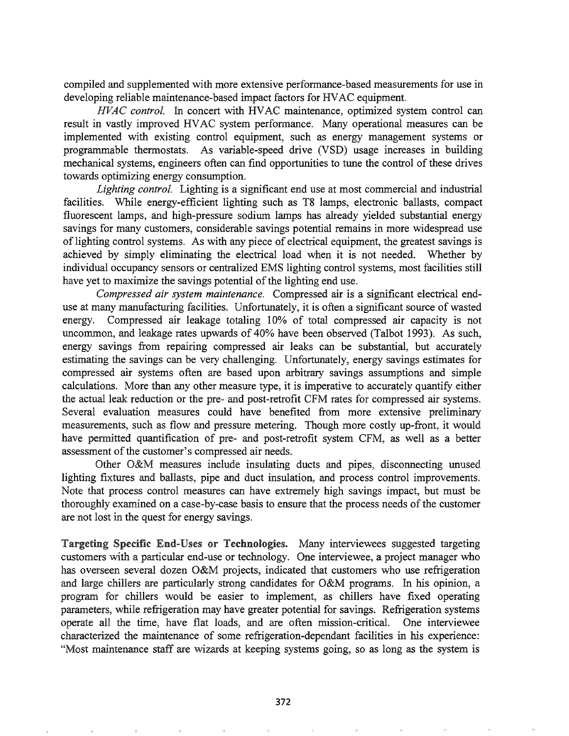compiled and supplemented with more extensive performance-based measurements for use in developing reliable maintenance-based impact factors for HVAC equipment.

*HVAC control.* In concert with HVAC maintenance, optimized system control can result in vastly improved HVAC system performance. Many operational measures can be implemented with existing control equipment, such as energy management systems or programmable thermostats. As variable-speed drive (VSD) usage increases in building mechanical systems, engineers often can find opportunities to tune the control of these drives towards optimizing energy consumption.

*Lighting control.* Lighting is a significant end use at most commercial and industrial facilities. While energy-efficient lighting such as T8 lamps, electronic ballasts, compact fluorescent lamps, and high-pressure sodium lamps has already yielded substantial energy savings for many customers, considerable savings potential remains in more widespread use of lighting control systems. As with any piece of electrical equipment, the greatest savings is achieved by simply eliminating the electrical load when it is not needed. Whether by individual occupancy sensors or centralized EMS lighting control systems, most facilities still have yet to maximize the savings potential of the lighting end use.

*Compressed air system maintenance.* Compressed air is a significant electrical end... use at many manufacturing facilities. Unfortunately, it is often a significant source of wasted energy. Compressed air leakage totaling 10% of total compressed air capacity is not uncommon, and leakage rates upwards of 40% have been observed (Talbot 1993). As such, energy savings from repairing compressed air leaks can be substantial, but accurately estimating the savings can be very challenging. Unfortunately, energy savings estimates for compressed air systems often are based upon arbitrary savings assumptions and simple calculations. More than any other measure type, it is imperative to accurately quantify either the actual leak reduction or the pre- and post-retrofit CFM rates for compressed air systems. Several evaluation measures could have benefited from more extensive preliminary measurements, such as flow and pressure metering. Though more costly up-front, it would have pennitted quantification of pre- and post-retrofit system CFM, as well as a better assessment of the customer's compressed air needs.

Other O&M measures include insulating ducts and pipes, disconnecting unused lighting fixtures and ballasts, pipe and duct insulation, and process control improvements. Note that process control measures can have extremely high savings impact, but must be thoroughly examined on a case-by-case basis to ensure that the process needs of the customer are not lost in the quest for energy savings.

Targeting Specific End-Uses or Technologies. Many interviewees suggested targeting customers with a particular end-use or technology. One interviewee, a project manager who has overseen several dozen O&M projects, indicated that customers who use refrigeration and large chillers are particularly strong candidates for O&M programs. In his opinion, a program for chillers would be easier to implement, as chillers have fixed operating parameters, while refrigeration may have greater potential for savings. Refrigeration systems operate all the time, have flat loads, and are often mission-criticaL One interviewee characterized the maintenance of some refrigeration-dependant facilities in his experience: "Most maintenance staff are wizards at keeping systems going, so as long as the system is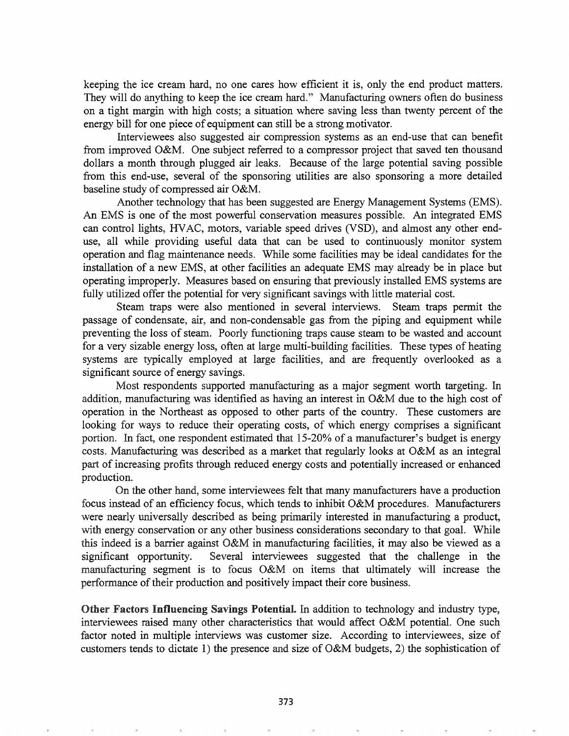keeping the ice cream hard, no one cares how efficient it is, only the end product matters. They will do anything to keep the ice cream hard." Manufacturing owners often do business on a tight margin with high costs; a situation where saving less than twenty percent of the energy bill for one piece of equipment can still be a strong motivator.

Interviewees also suggested air compression systems as an end-use that can benefit from improved O&M. One subject referred to a compressor project that saved ten thousand dollars a month through plugged air leaks. Because of the large potential saving possible from this end-use, several of the sponsoring utilities are also sponsoring a more detailed baseline study of compressed air O&M.

Another technology that has been suggested are Energy Management Systems (EMS). An EMS is one of the most powerful conservation measures possible. An integrated EMS can control lights, HVAC, motors, variable speed drives (VSD), and almost any other enduse, all while providing useful data that can be used to continuously monitor system operation and flag maintenance needs. While some facilities may be ideal candidates for the installation of a new EMS, at other facilities an adequate EMS may already be in place but operating improperly. Measures based on ensuring that previously installed EMS systems are fully utilized offer the potential for very significant savings with little material cost.

Steam traps were also mentioned in several interviews. Steam traps permit the passage of condensate, air, and non-condensable gas from the piping and equipment while preventing the loss of steam. Poorly functioning traps cause steam to be wasted and account for a very sizable energy loss, often at large multi-building facilities. These types of heating systems are typically employed at large facilities, and are frequently overlooked as a significant source of energy savings.

Most respondents supported manufacturing as a major segment worth targeting. In addition, manufacturing was identified as having an interest in O&M due to the high cost of operation in the Northeast as opposed to other parts of the country. These customers are looking for ways to reduce their operating costs, of which energy comprises a significant portion. In fact, one respondent estimated that 15-20% of a manufacturer's budget is energy costs. Manufacturing was described as a market that regularly looks at  $O&M$  as an integral part of increasing profits through reduced energy costs and potentially increased or enhanced production.

On the other hand, some interviewees felt that many manufacturers have a production focus instead of an efficiency focus, which tends to inhibit O&M procedures. Manufacturers were nearly universally described as being primarily interested in manufacturing a product, with energy conservation or any other business considerations secondary to that goal. While this indeed is a barrier against O&M in manufacturing facilities, it may also be viewed as a significant opportunity. Several interviewees suggested that the challenge in the manufacturing segment is to focus O&M on items that ultimately will increase the performance of their production and positively impact their core business.

Other Factors Influencing Savings Potential. In addition to technology and industry type, interviewees raised many other characteristics that would affect O&M potential. One such factor noted in multiple interviews was customer size. According to interviewees, size of customers tends to dictate 1) the presence and size of O&M budgets, 2) the sophistication of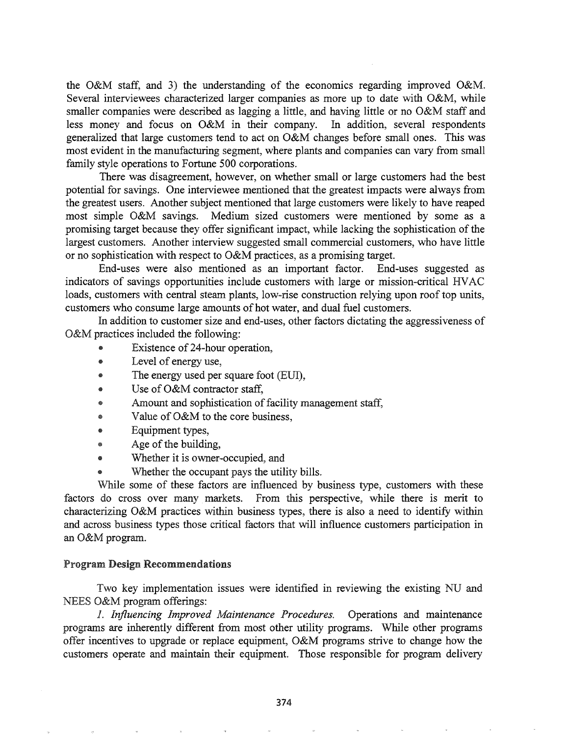the O&M staff, and 3) the understanding of the economics regarding improved O&M. Several interviewees characterized larger companies as more up to date with O&M, while smaller companies were described as lagging a little, and having little or no O&M staff and less money and focus on O&M in their company. In addition, several respondents generalized that large customers tend to act on O&M changes before small ones. This was most evident in the manufacturing segment, where plants and companies can vary from small family style operations to Fortune 500 corporations.

There was disagreement, however, on whether small or large customers had the best potential for savings. One interviewee mentioned that the greatest impacts were always from the greatest users. Another subject mentioned that large customers were likely to have reaped most simple O&M savings. Medium sized customers were mentioned by some as a promising target because they offer significant impact, while lacking the sophistication of the largest customers. Another interview suggested small commercial customers, who have little or no sophistication with respect to O&M practices, as a promising target.

End-uses were also mentioned as an important factor. End-uses suggested as indicators of savings opportunities include customers with large or mission-critical HVAC loads, customers with central steam plants, low-rise construction relying upon roof top units, customers who consume large amounts of hot water, and dual fuel customers.

In addition to customer size and end-uses, other factors dictating the aggressiveness of O&M practices included the following:

- Existence of 24-hour operation,
- @ Level of energy use,
- The energy used per square foot (EUI),
- Use of O&M contractor staff,
- $\bullet$  Amount and sophistication of facility management staff,
- Value of O&M to the core business,
- @ Equipment types,
- Age of the building,
- Whether it is owner-occupied, and
- Whether the occupant pays the utility bills.

While some of these factors are influenced by business type, customers with these factors do cross over many markets. From this perspective, while there is merit to characterizing O&M practices within business types, there is also a need to identify within and across business types those critical factors that will influence customers participation in an O&M program.

#### Program Design Recommendations

Two key implementation issues were identified in reviewing the existing NU and NEES O&M program offerings:

1. Influencing Improved Maintenance Procedures. Operations and maintenance programs are inherently different from most other utility programs. While other programs offer incentives to upgrade or replace equipment, O&M programs strive to change how the customers operate and maintain their equipment. Those responsible for program delivery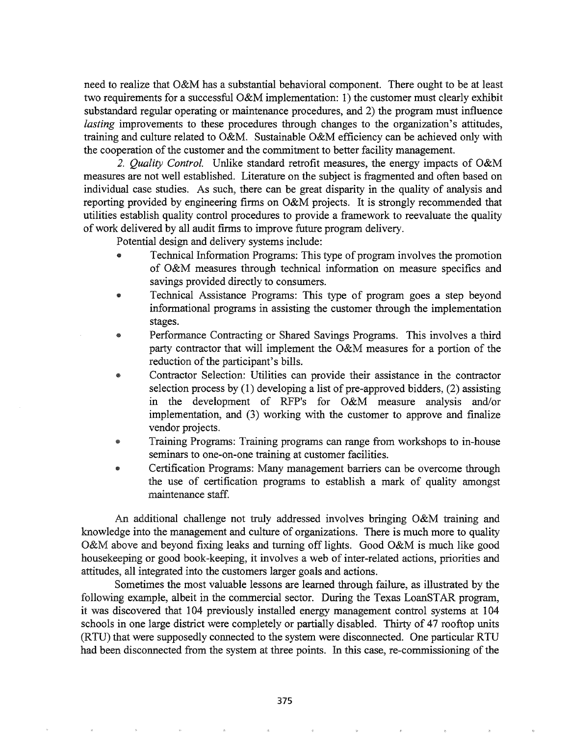need to realize that O&M has a substantial behavioral component. There ought to be at least two requirements for a successful O&M implementation: 1) the customer must clearly exhibit substandard regular operating or maintenance procedures, and 2) the program must influence *lasting* improvements to these procedures through changes to the organization's attitudes, training and culture related to O&M. Sustainable O&M efficiency can be achieved only with the cooperation of the customer and the commitment to better facility management.

*2. Quality Control.* Unlike standard retrofit measures, the energy impacts of O&M measures are not well established. Literature on the subject is fragmented and often based on individual case studies. As such, there can be great disparity in the quality of analysis and reporting provided by engineering firms on O&M projects. It is strongly recommended that utilities establish quality control procedures to provide a framework to reevaluate the quality of work delivered by all audit firms to improve future program delivery.

Potential design and delivery systems include:

- Technical Information Programs: This type of program involves the promotion of O&M measures through technical information on measure specifics and savings provided directly to consumers.
- @ Technical Assistance Programs: This type of program goes a step beyond informational programs in assisting the customer through the implementation stages.
- Performance Contracting or Shared Savings Programs. This involves a third party contractor that will implement the O&M measures for a portion of the reduction of the participant's bills.
- Contractor Selection: Utilities can provide their assistance in the contractor selection process by (1) developing a list of pre-approved bidders, (2) assisting in the development of RFP's for O&M measure analysis and/or implementation, and (3) working with the customer to approve and finalize vendor projects.
- @ Training Programs: Training programs can range from workshops to in-house seminars to one-on-one training at customer facilities.
- Certification Programs: Many management barriers can be overcome through the use of certification programs to establish a mark of quality amongst maintenance staff.

An additional challenge not truly addressed involves bringing O&M training and knowledge into the management and culture of organizations. There is much more to quality O&M above and beyond fixing leaks and turning off lights. Good O&M is much like good housekeeping or good book-keeping, it involves a web of inter-related actions, priorities and attitudes, all integrated into the customers larger goals and actions.

Sometimes the most valuable lessons are learned through failure, as illustrated by the following example, albeit in the commercial sector. During the Texas LoanSTAR program, it was discovered that 104 previously installed energy management control systems at 104 schools in one large district were completely or partially disabled. Thirty of 47 rooftop units (RTV) that were supposedly connected to the system were disconnected. One particular RTV had been disconnected from the system at three points. In this case, re-commissioning of the